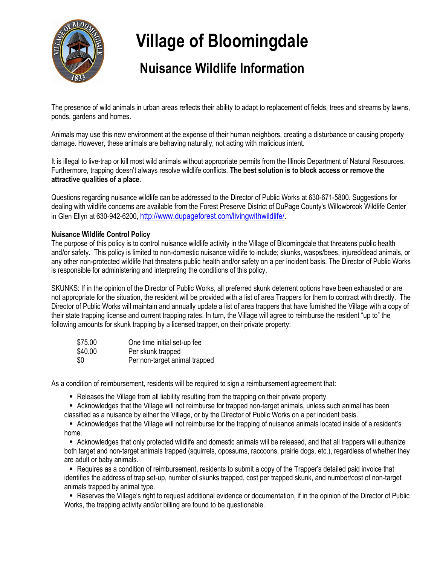

# **Village of Bloomingdale**

## **Nuisance Wildlife Information**

The presence of wild animals in urban areas reflects their ability to adapt to replacement of fields, trees and streams by lawns, ponds, gardens and homes.

Animals may use this new environment at the expense of their human neighbors, creating a disturbance or causing property damage. However, these animals are behaving naturally, not acting with malicious intent.

It is illegal to live-trap or kill most wild animals without appropriate permits from the Illinois Department of Natural Resources. Furthermore, trapping doesn't always resolve wildlife conflicts. **The best solution is to block access or remove the attractive qualities of a place**.

Questions regarding nuisance wildlife can be addressed to the Director of Public Works at 630-671-5800. Suggestions for dealing with wildlife concerns are available from the Forest Preserve District of DuPage County's Willowbrook Wildlife Center in Glen Ellyn at 630-942-6200, [http://www.dupageforest.com/livingwithwildlife/.](http://www.dupageforest.com/livingwithwildlife/)

#### **Nuisance Wildlife Control Policy**

The purpose of this policy is to control nuisance wildlife activity in the Village of Bloomingdale that threatens public health and/or safety. This policy is limited to non-domestic nuisance wildlife to include; skunks, wasps/bees, injured/dead animals, or any other non-protected wildlife that threatens public health and/or safety on a per incident basis. The Director of Public Works is responsible for administering and interpreting the conditions of this policy.

SKUNKS: If in the opinion of the Director of Public Works, all preferred skunk deterrent options have been exhausted or are not appropriate for the situation, the resident will be provided with a list of area Trappers for them to contract with directly. The Director of Public Works will maintain and annually update a list of area trappers that have furnished the Village with a copy of their state trapping license and current trapping rates. In turn, the Village will agree to reimburse the resident "up to" the following amounts for skunk trapping by a licensed trapper, on their private property:

| \$75.00 | One time initial set-up fee   |
|---------|-------------------------------|
| \$40.00 | Per skunk trapped             |
| \$0     | Per non-target animal trapped |

As a condition of reimbursement, residents will be required to sign a reimbursement agreement that:

- Releases the Village from all liability resulting from the trapping on their private property.
- Acknowledges that the Village will not reimburse for trapped non-target animals, unless such animal has been classified as a nuisance by either the Village, or by the Director of Public Works on a per incident basis.

▪ Acknowledges that the Village will not reimburse for the trapping of nuisance animals located inside of a resident's home.

▪ Acknowledges that only protected wildlife and domestic animals will be released, and that all trappers will euthanize both target and non-target animals trapped (squirrels, opossums, raccoons, prairie dogs, etc.), regardless of whether they are adult or baby animals.

▪ Requires as a condition of reimbursement, residents to submit a copy of the Trapper's detailed paid invoice that identifies the address of trap set-up, number of skunks trapped, cost per trapped skunk, and number/cost of non-target animals trapped by animal type.

■ Reserves the Village's right to request additional evidence or documentation, if in the opinion of the Director of Public Works, the trapping activity and/or billing are found to be questionable.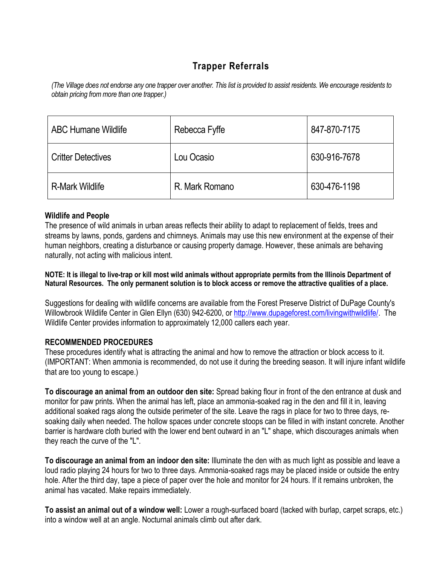### **Trapper Referrals**

*(The Village does not endorse any one trapper over another. This list is provided to assist residents. We encourage residents to obtain pricing from more than one trapper.)*

| <b>ABC Humane Wildlife</b> | Rebecca Fyffe  | 847-870-7175 |
|----------------------------|----------------|--------------|
| <b>Critter Detectives</b>  | Lou Ocasio     | 630-916-7678 |
| <b>R-Mark Wildlife</b>     | R. Mark Romano | 630-476-1198 |

#### **Wildlife and People**

The presence of wild animals in urban areas reflects their ability to adapt to replacement of fields, trees and streams by lawns, ponds, gardens and chimneys. Animals may use this new environment at the expense of their human neighbors, creating a disturbance or causing property damage. However, these animals are behaving naturally, not acting with malicious intent.

**NOTE: It is illegal to live-trap or kill most wild animals without appropriate permits from the Illinois Department of Natural Resources. The only permanent solution is to block access or remove the attractive qualities of a place.**

Suggestions for dealing with wildlife concerns are available from the Forest Preserve District of DuPage County's [Willowbrook Wildlife Center](http://www.dupageforest.com/EDUCATION/willowbrook.html) in Glen Ellyn (630) 942-6200, o[r http://www.dupageforest.com/livingwithwildlife/.](http://www.dupageforest.com/livingwithwildlife/) The Wildlife Center provides information to approximately 12,000 callers each year.

#### **RECOMMENDED PROCEDURES**

These procedures identify what is attracting the animal and how to remove the attraction or block access to it. (IMPORTANT: When ammonia is recommended, do not use it during the breeding season. It will injure infant wildlife that are too young to escape.)

**To discourage an animal from an outdoor den site:** Spread baking flour in front of the den entrance at dusk and monitor for paw prints. When the animal has left, place an ammonia-soaked rag in the den and fill it in, leaving additional soaked rags along the outside perimeter of the site. Leave the rags in place for two to three days, resoaking daily when needed. The hollow spaces under concrete stoops can be filled in with instant concrete. Another barrier is hardware cloth buried with the lower end bent outward in an "L" shape, which discourages animals when they reach the curve of the "L".

**To discourage an animal from an indoor den site:** Illuminate the den with as much light as possible and leave a loud radio playing 24 hours for two to three days. Ammonia-soaked rags may be placed inside or outside the entry hole. After the third day, tape a piece of paper over the hole and monitor for 24 hours. If it remains unbroken, the animal has vacated. Make repairs immediately.

**To assist an animal out of a window well:** Lower a rough-surfaced board (tacked with burlap, carpet scraps, etc.) into a window well at an angle. Nocturnal animals climb out after dark.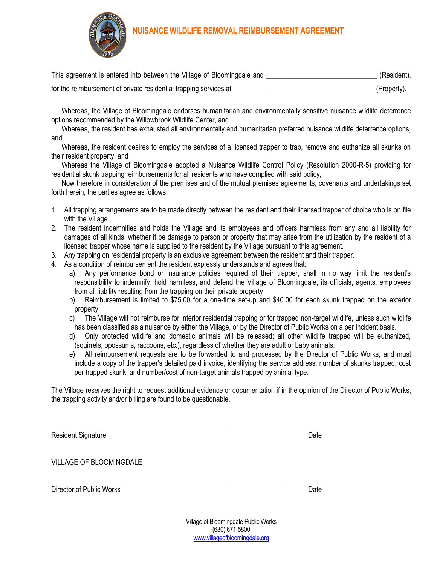



| This agreement is entered into between the Village of Bloomingdale and | (Resident), |
|------------------------------------------------------------------------|-------------|
| for the reimbursement of private residential trapping services at      | (Property). |

Whereas, the Village of Bloomingdale endorses humanitarian and environmentally sensitive nuisance wildlife deterrence options recommended by the Willowbrook Wildlife Center, and

Whereas, the resident has exhausted all environmentally and humanitarian preferred nuisance wildlife deterrence options, and

Whereas, the resident desires to employ the services of a licensed trapper to trap, remove and euthanize all skunks on their resident property, and

Whereas the Village of Bloomingdale adopted a Nuisance Wildlife Control Policy (Resolution 2000-R-5) providing for residential skunk trapping reimbursements for all residents who have complied with said policy,

Now therefore in consideration of the premises and of the mutual premises agreements, covenants and undertakings set forth herein, the parties agree as follows:

- 1. All trapping arrangements are to be made directly between the resident and their licensed trapper of choice who is on file with the Village.
- 2. The resident indemnifies and holds the Village and its employees and officers harmless from any and all liability for damages of all kinds, whether it be damage to person or property that may arise from the utilization by the resident of a licensed trapper whose name is supplied to the resident by the Village pursuant to this agreement.
- 3. Any trapping on residential property is an exclusive agreement between the resident and their trapper.
- 4. As a condition of reimbursement the resident expressly understands and agrees that:
	- a) Any performance bond or insurance policies required of their trapper, shall in no way limit the resident's responsibility to indemnify, hold harmless, and defend the Village of Bloomingdale, its officials, agents, employees from all liability resulting from the trapping on their private property
	- b) Reimbursement is limited to \$75.00 for a one-time set-up and \$40.00 for each skunk trapped on the exterior property.
	- c) The Village will not reimburse for interior residential trapping or for trapped non-target wildlife, unless such wildlife has been classified as a nuisance by either the Village, or by the Director of Public Works on a per incident basis.
	- d) Only protected wildlife and domestic animals will be released; all other wildlife trapped will be euthanized, (squirrels, opossums, raccoons, etc.), regardless of whether they are adult or baby animals.
	- e) All reimbursement requests are to be forwarded to and processed by the Director of Public Works, and must include a copy of the trapper's detailed paid invoice, identifying the service address, number of skunks trapped, cost per trapped skunk, and number/cost of non-target animals trapped by animal type.

The Village reserves the right to request additional evidence or documentation if in the opinion of the Director of Public Works, the trapping activity and/or billing are found to be questionable.

Resident Signature **Date** 

VILLAGE OF BLOOMINGDALE

Director of Public Works Date

Village of Bloomingdale Public Works (630) 671-5800 [www.villageofbloomingdale.org](http://www.villageofbloomingdale.org/)